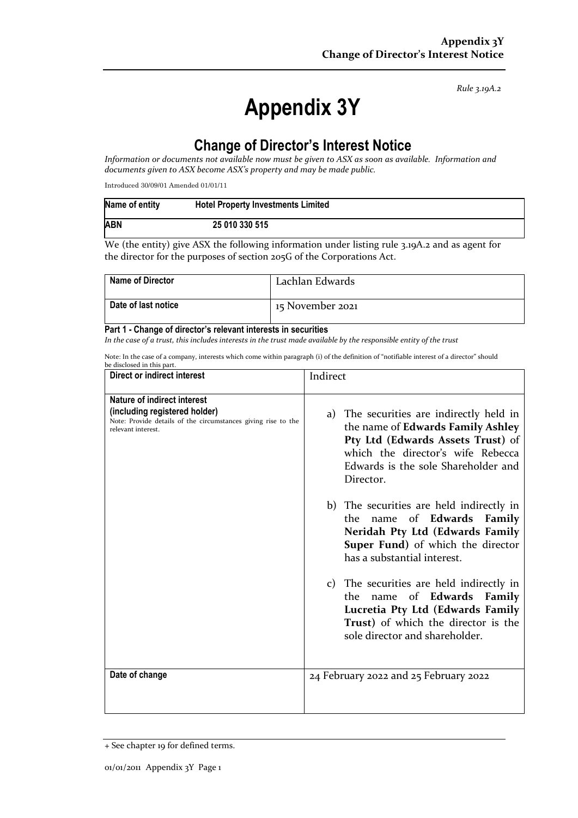*Rule 3.19A.2*

# **Appendix 3Y**

### **Change of Director's Interest Notice**

*Information or documents not available now must be given to ASX as soon as available. Information and documents given to ASX become ASX's property and may be made public.*

Introduced 30/09/01 Amended 01/01/11

| Name of entity | <b>Hotel Property Investments Limited</b> |
|----------------|-------------------------------------------|
| <b>ABN</b>     | 25 010 330 515                            |

We (the entity) give ASX the following information under listing rule 3.19A.2 and as agent for the director for the purposes of section 205G of the Corporations Act.

| <b>Name of Director</b> | Lachlan Edwards  |
|-------------------------|------------------|
| Date of last notice     | 15 November 2021 |

#### **Part 1 - Change of director's relevant interests in securities**

*In the case of a trust, this includes interests in the trust made available by the responsible entity of the trust*

Note: In the case of a company, interests which come within paragraph (i) of the definition of "notifiable interest of a director" should be disclosed in this part.

| Direct or indirect interest                                                                                                                         | Indirect                                                                                                                                                                                                    |
|-----------------------------------------------------------------------------------------------------------------------------------------------------|-------------------------------------------------------------------------------------------------------------------------------------------------------------------------------------------------------------|
| Nature of indirect interest<br>(including registered holder)<br>Note: Provide details of the circumstances giving rise to the<br>relevant interest. | a) The securities are indirectly held in<br>the name of Edwards Family Ashley<br>Pty Ltd (Edwards Assets Trust) of<br>which the director's wife Rebecca<br>Edwards is the sole Shareholder and<br>Director. |
|                                                                                                                                                     | b) The securities are held indirectly in<br>name of Edwards Family<br>the<br>Neridah Pty Ltd (Edwards Family<br>Super Fund) of which the director<br>has a substantial interest.                            |
|                                                                                                                                                     | c) The securities are held indirectly in<br>name of Edwards Family<br>the<br>Lucretia Pty Ltd (Edwards Family<br>Trust) of which the director is the<br>sole director and shareholder.                      |
| Date of change                                                                                                                                      | 24 February 2022 and 25 February 2022                                                                                                                                                                       |

<sup>+</sup> See chapter 19 for defined terms.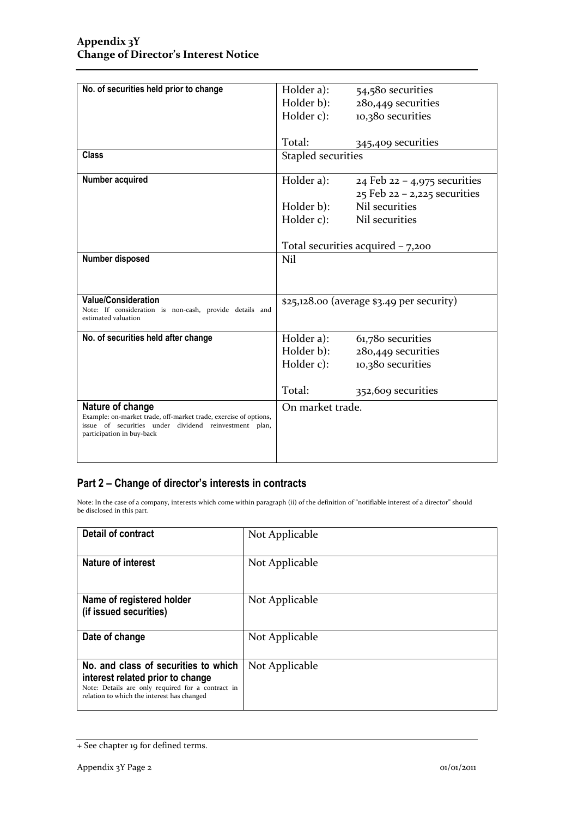| No. of securities held prior to change                                                                                    | Holder a):                                   | 54,580 securities                |
|---------------------------------------------------------------------------------------------------------------------------|----------------------------------------------|----------------------------------|
|                                                                                                                           | Holder b):                                   | 280,449 securities               |
|                                                                                                                           | Holder c):                                   | 10,380 securities                |
|                                                                                                                           |                                              |                                  |
|                                                                                                                           | Total:                                       | 345,409 securities               |
| Class                                                                                                                     |                                              |                                  |
|                                                                                                                           | <b>Stapled securities</b>                    |                                  |
| Number acquired                                                                                                           | Holder a):                                   | 24 Feb $22 - 4,975$ securities   |
|                                                                                                                           |                                              | $25$ Feb $22 - 2,225$ securities |
|                                                                                                                           | Holder b):                                   | Nil securities                   |
|                                                                                                                           | Holder c):                                   | Nil securities                   |
|                                                                                                                           |                                              |                                  |
|                                                                                                                           | Total securities acquired $-7,200$           |                                  |
| Number disposed                                                                                                           | Nil                                          |                                  |
|                                                                                                                           |                                              |                                  |
|                                                                                                                           |                                              |                                  |
| <b>Value/Consideration</b>                                                                                                | $$25,128.$ oo (average $$3.49$ per security) |                                  |
| Note: If consideration is non-cash, provide details and<br>estimated valuation                                            |                                              |                                  |
| No. of securities held after change                                                                                       | Holder a):                                   | 61,780 securities                |
|                                                                                                                           | Holder b):                                   | 280,449 securities               |
|                                                                                                                           | Holder c):                                   | 10,380 securities                |
|                                                                                                                           |                                              |                                  |
|                                                                                                                           | Total:                                       | 352,609 securities               |
|                                                                                                                           |                                              |                                  |
| Nature of change                                                                                                          | On market trade.                             |                                  |
| Example: on-market trade, off-market trade, exercise of options,<br>issue of securities under dividend reinvestment plan, |                                              |                                  |
| participation in buy-back                                                                                                 |                                              |                                  |
|                                                                                                                           |                                              |                                  |
|                                                                                                                           |                                              |                                  |

### **Part 2 – Change of director's interests in contracts**

Note: In the case of a company, interests which come within paragraph (ii) of the definition of "notifiable interest of a director" should be disclosed in this part.

| <b>Detail of contract</b>                                                                                                                                                   | Not Applicable |
|-----------------------------------------------------------------------------------------------------------------------------------------------------------------------------|----------------|
| Nature of interest                                                                                                                                                          | Not Applicable |
| Name of registered holder<br>(if issued securities)                                                                                                                         | Not Applicable |
| Date of change                                                                                                                                                              | Not Applicable |
| No. and class of securities to which<br>interest related prior to change<br>Note: Details are only required for a contract in<br>relation to which the interest has changed | Not Applicable |

<sup>+</sup> See chapter 19 for defined terms.